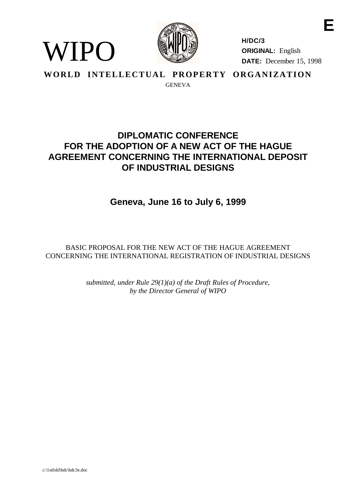

**H/DC/3 ORIGINAL:** English **DATE:** December 15, 1998

**E**

**WORLD INTELLECTUAL PROPERTY ORGANIZATION GENEVA** 

# **DIPLOMATIC CONFERENCE FOR THE ADOPTION OF A NEW ACT OF THE HAGUE AGREEMENT CONCERNING THE INTERNATIONAL DEPOSIT OF INDUSTRIAL DESIGNS**

# **Geneva, June 16 to July 6, 1999**

BASIC PROPOSAL FOR THE NEW ACT OF THE HAGUE AGREEMENT CONCERNING THE INTERNATIONAL REGISTRATION OF INDUSTRIAL DESIGNS

> *submitted, under Rule 29(1)(a) of the Draft Rules of Procedure, by the Director General of WIPO*

WIPO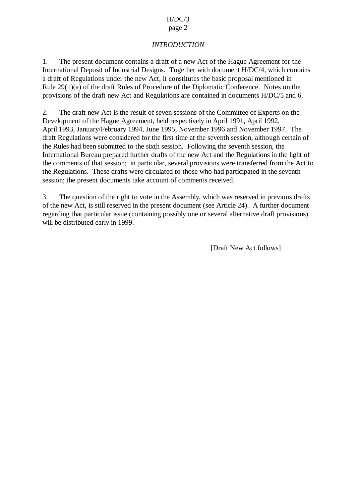## $H/DC/3$

#### page 2

## *INTRODUCTION*

1. The present document contains a draft of a new Act of the Hague Agreement for the International Deposit of Industrial Designs. Together with document H/DC/4, which contains a draft of Regulations under the new Act, it constitutes the basic proposal mentioned in Rule 29(1)(a) of the draft Rules of Procedure of the Diplomatic Conference. Notes on the provisions of the draft new Act and Regulations are contained in documents H/DC/5 and 6.

2. The draft new Act is the result of seven sessions of the Committee of Experts on the Development of the Hague Agreement, held respectively in April 1991, April 1992, April 1993, January/February 1994, June 1995, November 1996 and November 1997. The draft Regulations were considered for the first time at the seventh session, although certain of the Rules had been submitted to the sixth session. Following the seventh session, the International Bureau prepared further drafts of the new Act and the Regulations in the light of the comments of that session; in particular, several provisions were transferred from the Act to the Regulations. These drafts were circulated to those who had participated in the seventh session; the present documents take account of comments received.

3. The question of the right to vote in the Assembly, which was reserved in previous drafts of the new Act, is still reserved in the present document (see Article 24). A further document regarding that particular issue (containing possibly one or several alternative draft provisions) will be distributed early in 1999.

[Draft New Act follows]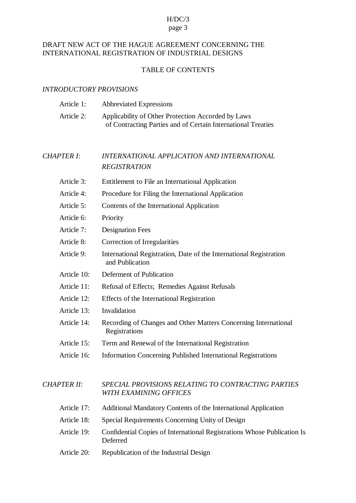## H/DC/3

#### page 3

## DRAFT NEW ACT OF THE HAGUE AGREEMENT CONCERNING THE INTERNATIONAL REGISTRATION OF INDUSTRIAL DESIGNS

## TABLE OF CONTENTS

## *INTRODUCTORY PROVISIONS*

| Article 1: | <b>Abbreviated Expressions</b>                               |
|------------|--------------------------------------------------------------|
| Article 2: | Applicability of Other Protection Accorded by Laws           |
|            | of Contracting Parties and of Certain International Treaties |

## *CHAPTER I*: *INTERNATIONAL APPLICATION AND INTERNATIONAL REGISTRATION*

- Article 3: Entitlement to File an International Application
- Article 4: Procedure for Filing the International Application
- Article 5: Contents of the International Application
- Article 6: Priority
- Article 7: Designation Fees
- Article 8: Correction of Irregularities
- Article 9: International Registration, Date of the International Registration and Publication
- Article 10: Deferment of Publication
- Article 11: Refusal of Effects; Remedies Against Refusals
- Article 12: Effects of the International Registration
- Article 13: Invalidation
- Article 14: Recording of Changes and Other Matters Concerning International Registrations
- Article 15: Term and Renewal of the International Registration
- Article 16: Information Concerning Published International Registrations

## *CHAPTER II: SPECIAL PROVISIONS RELATING TO CONTRACTING PARTIES WITH EXAMINING OFFICES*

| Article 17: | Additional Mandatory Contents of the International Application                      |
|-------------|-------------------------------------------------------------------------------------|
| Article 18: | Special Requirements Concerning Unity of Design                                     |
| Article 19: | Confidential Copies of International Registrations Whose Publication Is<br>Deferred |
| Article 20: | Republication of the Industrial Design                                              |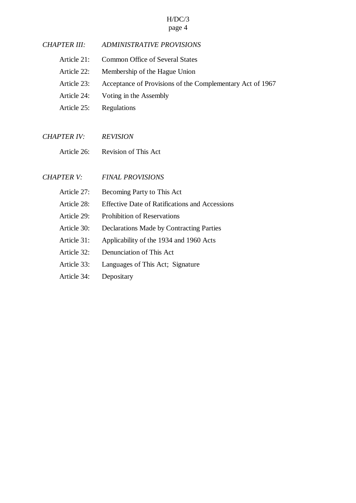# H/DC/3

## page 4

| <b>CHAPTER III:</b> | <b>ADMINISTRATIVE PROVISIONS</b>                          |
|---------------------|-----------------------------------------------------------|
| Article 21:         | Common Office of Several States                           |
| Article 22:         | Membership of the Hague Union                             |
| Article 23:         | Acceptance of Provisions of the Complementary Act of 1967 |
| Article 24:         | Voting in the Assembly                                    |
| Article 25:         | Regulations                                               |
|                     |                                                           |
| <b>CHAPTER IV:</b>  | <b>REVISION</b>                                           |
| Article 26:         | <b>Revision of This Act</b>                               |
|                     |                                                           |
| <b>CHAPTER V:</b>   | <b>FINAL PROVISIONS</b>                                   |
| Article 27:         | Becoming Party to This Act                                |
| Article 28:         | <b>Effective Date of Ratifications and Accessions</b>     |
| Article 29:         | <b>Prohibition of Reservations</b>                        |

- Article 30: Declarations Made by Contracting Parties
- Article 31: Applicability of the 1934 and 1960 Acts
- Article 32: Denunciation of This Act
- Article 33: Languages of This Act; Signature
- Article 34: Depositary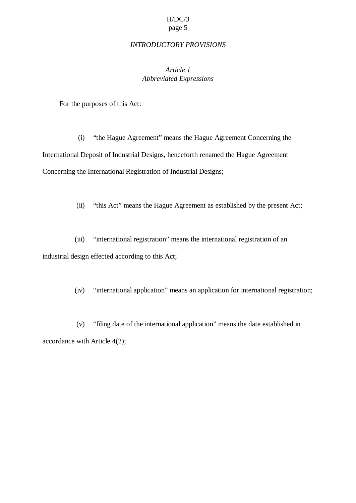#### *INTRODUCTORY PROVISIONS*

## *Article 1 Abbreviated Expressions*

For the purposes of this Act:

(i) "the Hague Agreement" means the Hague Agreement Concerning the International Deposit of Industrial Designs, henceforth renamed the Hague Agreement Concerning the International Registration of Industrial Designs;

(ii) "this Act" means the Hague Agreement as established by the present Act;

(iii) "international registration" means the international registration of an industrial design effected according to this Act;

(iv) "international application" means an application for international registration;

(v) "filing date of the international application" means the date established in accordance with Article 4(2);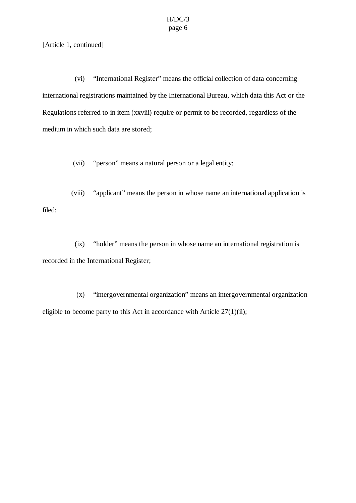[Article 1, continued]

(vi) "International Register" means the official collection of data concerning international registrations maintained by the International Bureau, which data this Act or the Regulations referred to in item (xxviii) require or permit to be recorded, regardless of the medium in which such data are stored;

(vii) "person" means a natural person or a legal entity;

(viii) "applicant" means the person in whose name an international application is filed;

(ix) "holder" means the person in whose name an international registration is recorded in the International Register;

(x) "intergovernmental organization" means an intergovernmental organization eligible to become party to this Act in accordance with Article  $27(1)(ii)$ ;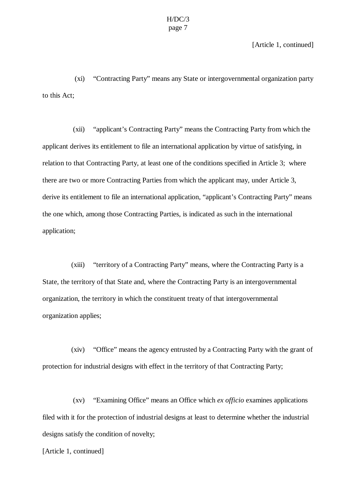[Article 1, continued]

(xi) "Contracting Party" means any State or intergovernmental organization party to this Act;

(xii) "applicant's Contracting Party" means the Contracting Party from which the applicant derives its entitlement to file an international application by virtue of satisfying, in relation to that Contracting Party, at least one of the conditions specified in Article 3; where there are two or more Contracting Parties from which the applicant may, under Article 3, derive its entitlement to file an international application, "applicant's Contracting Party" means the one which, among those Contracting Parties, is indicated as such in the international application;

(xiii) "territory of a Contracting Party" means, where the Contracting Party is a State, the territory of that State and, where the Contracting Party is an intergovernmental organization, the territory in which the constituent treaty of that intergovernmental organization applies;

(xiv) "Office" means the agency entrusted by a Contracting Party with the grant of protection for industrial designs with effect in the territory of that Contracting Party;

(xv) "Examining Office" means an Office which *ex officio* examines applications filed with it for the protection of industrial designs at least to determine whether the industrial designs satisfy the condition of novelty;

[Article 1, continued]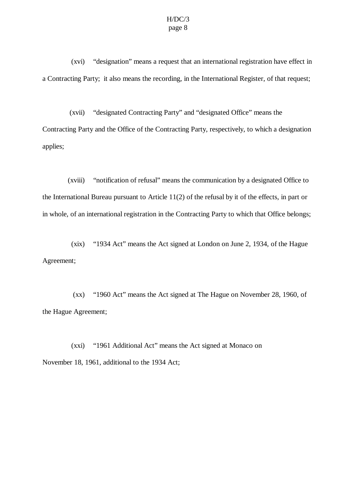(xvi) "designation" means a request that an international registration have effect in a Contracting Party; it also means the recording, in the International Register, of that request;

(xvii) "designated Contracting Party" and "designated Office" means the Contracting Party and the Office of the Contracting Party, respectively, to which a designation applies;

(xviii) "notification of refusal" means the communication by a designated Office to the International Bureau pursuant to Article 11(2) of the refusal by it of the effects, in part or in whole, of an international registration in the Contracting Party to which that Office belongs;

(xix) "1934 Act" means the Act signed at London on June 2, 1934, of the Hague Agreement;

(xx) "1960 Act" means the Act signed at The Hague on November 28, 1960, of the Hague Agreement;

(xxi) "1961 Additional Act" means the Act signed at Monaco on November 18, 1961, additional to the 1934 Act;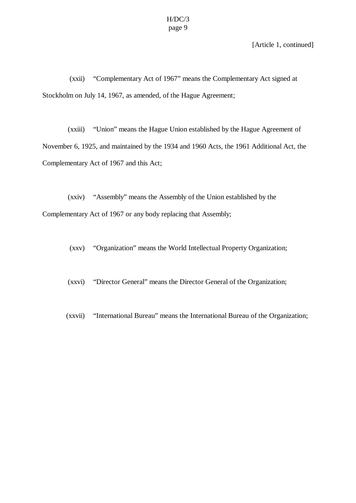[Article 1, continued]

(xxii) "Complementary Act of 1967" means the Complementary Act signed at Stockholm on July 14, 1967, as amended, of the Hague Agreement;

(xxiii) "Union" means the Hague Union established by the Hague Agreement of November 6, 1925, and maintained by the 1934 and 1960 Acts, the 1961 Additional Act, the Complementary Act of 1967 and this Act;

(xxiv) "Assembly" means the Assembly of the Union established by the Complementary Act of 1967 or any body replacing that Assembly;

(xxv) "Organization" means the World Intellectual Property Organization;

(xxvi) "Director General" means the Director General of the Organization;

(xxvii) "International Bureau" means the International Bureau of the Organization;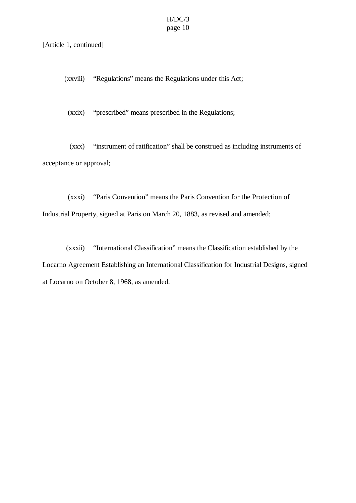#### [Article 1, continued]

(xxviii) "Regulations" means the Regulations under this Act;

(xxix) "prescribed" means prescribed in the Regulations;

(xxx) "instrument of ratification" shall be construed as including instruments of acceptance or approval;

(xxxi) "Paris Convention" means the Paris Convention for the Protection of Industrial Property, signed at Paris on March 20, 1883, as revised and amended;

(xxxii) "International Classification" means the Classification established by the Locarno Agreement Establishing an International Classification for Industrial Designs, signed at Locarno on October 8, 1968, as amended.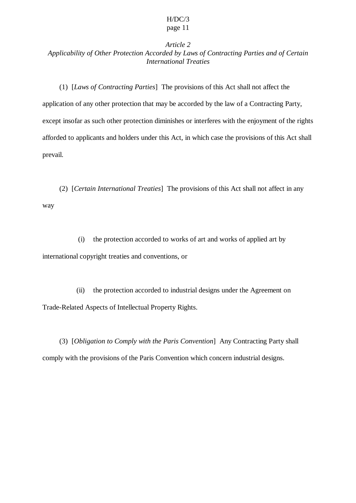## *Article 2 Applicability of Other Protection Accorded by Laws of Contracting Parties and of Certain International Treaties*

(1) [*Laws of Contracting Parties*] The provisions of this Act shall not affect the application of any other protection that may be accorded by the law of a Contracting Party, except insofar as such other protection diminishes or interferes with the enjoyment of the rights afforded to applicants and holders under this Act, in which case the provisions of this Act shall prevail.

(2) [*Certain International Treaties*] The provisions of this Act shall not affect in any way

(i) the protection accorded to works of art and works of applied art by international copyright treaties and conventions, or

(ii) the protection accorded to industrial designs under the Agreement on Trade-Related Aspects of Intellectual Property Rights.

(3) [*Obligation to Comply with the Paris Convention*] Any Contracting Party shall comply with the provisions of the Paris Convention which concern industrial designs.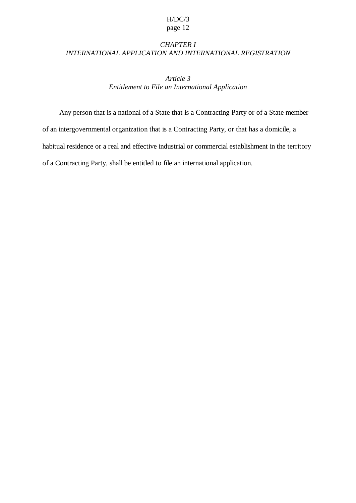## *CHAPTER I INTERNATIONAL APPLICATION AND INTERNATIONAL REGISTRATION*

*Article 3 Entitlement to File an International Application*

Any person that is a national of a State that is a Contracting Party or of a State member of an intergovernmental organization that is a Contracting Party, or that has a domicile, a habitual residence or a real and effective industrial or commercial establishment in the territory of a Contracting Party, shall be entitled to file an international application.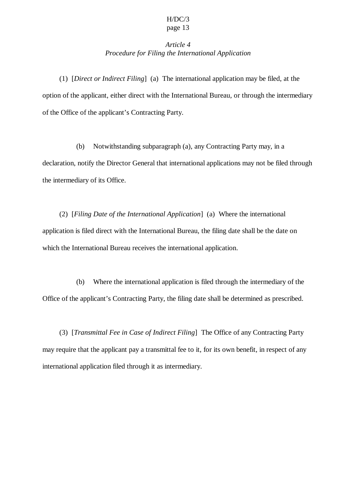## *Article 4 Procedure for Filing the International Application*

(1) [*Direct or Indirect Filing*] (a) The international application may be filed, at the option of the applicant, either direct with the International Bureau, or through the intermediary of the Office of the applicant's Contracting Party.

(b) Notwithstanding subparagraph (a), any Contracting Party may, in a declaration, notify the Director General that international applications may not be filed through the intermediary of its Office.

(2) [*Filing Date of the International Application*] (a) Where the international application is filed direct with the International Bureau, the filing date shall be the date on which the International Bureau receives the international application.

(b) Where the international application is filed through the intermediary of the Office of the applicant's Contracting Party, the filing date shall be determined as prescribed.

(3) [*Transmittal Fee in Case of Indirect Filing*] The Office of any Contracting Party may require that the applicant pay a transmittal fee to it, for its own benefit, in respect of any international application filed through it as intermediary.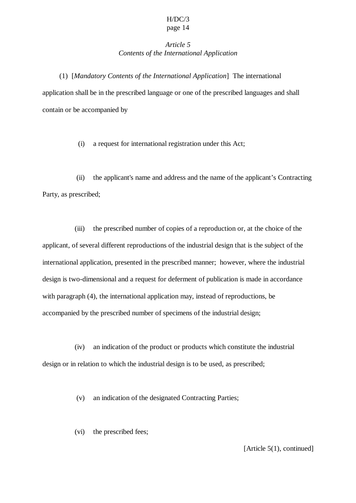## *Article 5 Contents of the International Application*

(1) [*Mandatory Contents of the International Application*] The international application shall be in the prescribed language or one of the prescribed languages and shall contain or be accompanied by

(i) a request for international registration under this Act;

(ii) the applicant's name and address and the name of the applicant's Contracting Party, as prescribed;

(iii) the prescribed number of copies of a reproduction or, at the choice of the applicant, of several different reproductions of the industrial design that is the subject of the international application, presented in the prescribed manner; however, where the industrial design is two-dimensional and a request for deferment of publication is made in accordance with paragraph (4), the international application may, instead of reproductions, be accompanied by the prescribed number of specimens of the industrial design;

(iv) an indication of the product or products which constitute the industrial design or in relation to which the industrial design is to be used, as prescribed;

(v) an indication of the designated Contracting Parties;

(vi) the prescribed fees;

[Article 5(1), continued]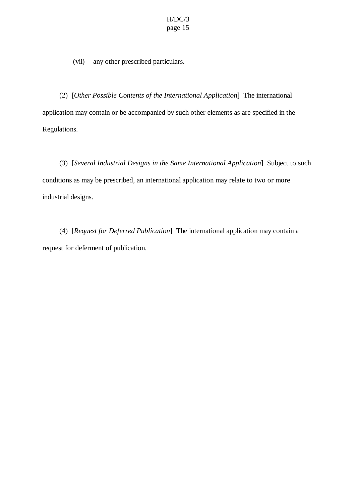(vii) any other prescribed particulars.

(2) [*Other Possible Contents of the International Application*] The international application may contain or be accompanied by such other elements as are specified in the Regulations.

(3) [*Several Industrial Designs in the Same International Application*] Subject to such conditions as may be prescribed, an international application may relate to two or more industrial designs.

(4) [*Request for Deferred Publication*] The international application may contain a request for deferment of publication.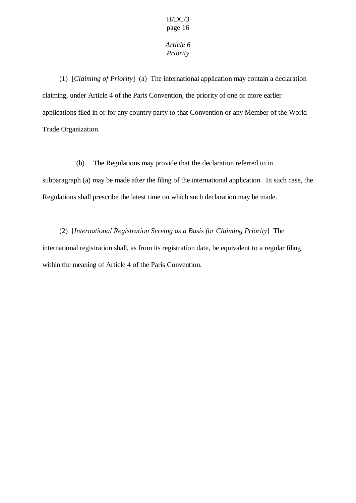## *Article 6 Priority*

(1) [*Claiming of Priority*] (a) The international application may contain a declaration claiming, under Article 4 of the Paris Convention, the priority of one or more earlier applications filed in or for any country party to that Convention or any Member of the World Trade Organization.

(b) The Regulations may provide that the declaration referred to in

subparagraph (a) may be made after the filing of the international application. In such case, the Regulations shall prescribe the latest time on which such declaration may be made.

(2) [*International Registration Serving as a Basis for Claiming Priority*] The international registration shall, as from its registration date, be equivalent to a regular filing within the meaning of Article 4 of the Paris Convention.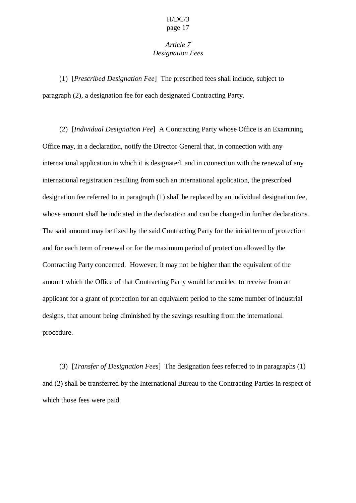## *Article 7 Designation Fees*

(1) [*Prescribed Designation Fee*] The prescribed fees shall include, subject to paragraph (2), a designation fee for each designated Contracting Party.

(2) [*Individual Designation Fee*] A Contracting Party whose Office is an Examining Office may, in a declaration, notify the Director General that, in connection with any international application in which it is designated, and in connection with the renewal of any international registration resulting from such an international application, the prescribed designation fee referred to in paragraph (1) shall be replaced by an individual designation fee, whose amount shall be indicated in the declaration and can be changed in further declarations. The said amount may be fixed by the said Contracting Party for the initial term of protection and for each term of renewal or for the maximum period of protection allowed by the Contracting Party concerned. However, it may not be higher than the equivalent of the amount which the Office of that Contracting Party would be entitled to receive from an applicant for a grant of protection for an equivalent period to the same number of industrial designs, that amount being diminished by the savings resulting from the international procedure.

(3) [*Transfer of Designation Fees*] The designation fees referred to in paragraphs (1) and (2) shall be transferred by the International Bureau to the Contracting Parties in respect of which those fees were paid.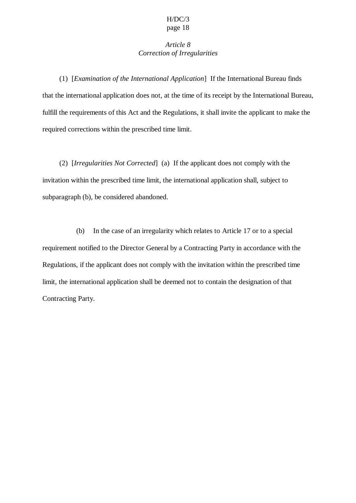## *Article 8 Correction of Irregularities*

(1) [*Examination of the International Application*] If the International Bureau finds that the international application does not, at the time of its receipt by the International Bureau, fulfill the requirements of this Act and the Regulations, it shall invite the applicant to make the required corrections within the prescribed time limit.

(2) [*Irregularities Not Corrected*] (a) If the applicant does not comply with the invitation within the prescribed time limit, the international application shall, subject to subparagraph (b), be considered abandoned.

(b) In the case of an irregularity which relates to Article 17 or to a special requirement notified to the Director General by a Contracting Party in accordance with the Regulations, if the applicant does not comply with the invitation within the prescribed time limit, the international application shall be deemed not to contain the designation of that Contracting Party.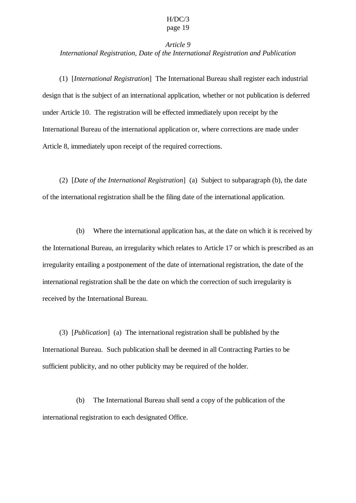## *Article 9 International Registration, Date of the International Registration and Publication*

(1) [*International Registration*] The International Bureau shall register each industrial design that is the subject of an international application, whether or not publication is deferred under Article 10. The registration will be effected immediately upon receipt by the International Bureau of the international application or, where corrections are made under Article 8, immediately upon receipt of the required corrections.

(2) [*Date of the International Registration*] (a) Subject to subparagraph (b), the date of the international registration shall be the filing date of the international application.

(b) Where the international application has, at the date on which it is received by the International Bureau, an irregularity which relates to Article 17 or which is prescribed as an irregularity entailing a postponement of the date of international registration, the date of the international registration shall be the date on which the correction of such irregularity is received by the International Bureau.

(3) [*Publication*] (a) The international registration shall be published by the International Bureau. Such publication shall be deemed in all Contracting Parties to be sufficient publicity, and no other publicity may be required of the holder.

(b) The International Bureau shall send a copy of the publication of the international registration to each designated Office.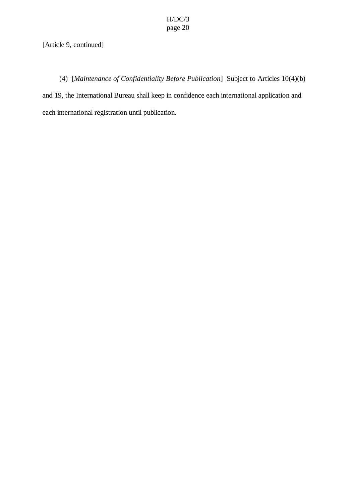## [Article 9, continued]

(4) [*Maintenance of Confidentiality Before Publication*] Subject to Articles 10(4)(b) and 19, the International Bureau shall keep in confidence each international application and each international registration until publication.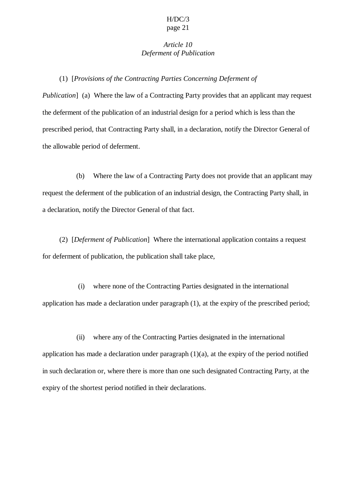#### *Article 10 Deferment of Publication*

(1) [*Provisions of the Contracting Parties Concerning Deferment of*

*Publication*] (a) Where the law of a Contracting Party provides that an applicant may request the deferment of the publication of an industrial design for a period which is less than the prescribed period, that Contracting Party shall, in a declaration, notify the Director General of the allowable period of deferment.

(b) Where the law of a Contracting Party does not provide that an applicant may request the deferment of the publication of an industrial design, the Contracting Party shall, in a declaration, notify the Director General of that fact.

(2) [*Deferment of Publication*] Where the international application contains a request for deferment of publication, the publication shall take place,

(i) where none of the Contracting Parties designated in the international application has made a declaration under paragraph (1), at the expiry of the prescribed period;

(ii) where any of the Contracting Parties designated in the international application has made a declaration under paragraph  $(1)(a)$ , at the expiry of the period notified in such declaration or, where there is more than one such designated Contracting Party, at the expiry of the shortest period notified in their declarations.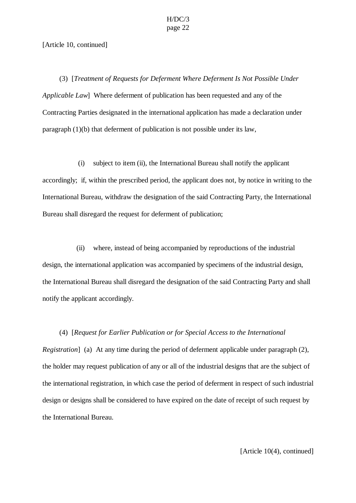[Article 10, continued]

(3) [*Treatment of Requests for Deferment Where Deferment Is Not Possible Under Applicable Law*] Where deferment of publication has been requested and any of the Contracting Parties designated in the international application has made a declaration under paragraph (1)(b) that deferment of publication is not possible under its law,

(i) subject to item (ii), the International Bureau shall notify the applicant accordingly; if, within the prescribed period, the applicant does not, by notice in writing to the International Bureau, withdraw the designation of the said Contracting Party, the International Bureau shall disregard the request for deferment of publication;

(ii) where, instead of being accompanied by reproductions of the industrial design, the international application was accompanied by specimens of the industrial design, the International Bureau shall disregard the designation of the said Contracting Party and shall notify the applicant accordingly.

(4) [*Request for Earlier Publication or for Special Access to the International*

*Registration*] (a) At any time during the period of deferment applicable under paragraph (2), the holder may request publication of any or all of the industrial designs that are the subject of the international registration, in which case the period of deferment in respect of such industrial design or designs shall be considered to have expired on the date of receipt of such request by the International Bureau.

[Article 10(4), continued]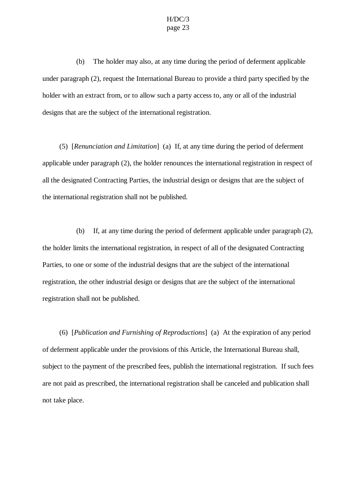(b) The holder may also, at any time during the period of deferment applicable under paragraph (2), request the International Bureau to provide a third party specified by the holder with an extract from, or to allow such a party access to, any or all of the industrial designs that are the subject of the international registration.

(5) [*Renunciation and Limitation*] (a) If, at any time during the period of deferment applicable under paragraph (2), the holder renounces the international registration in respect of all the designated Contracting Parties, the industrial design or designs that are the subject of the international registration shall not be published.

(b) If, at any time during the period of deferment applicable under paragraph (2), the holder limits the international registration, in respect of all of the designated Contracting Parties, to one or some of the industrial designs that are the subject of the international registration, the other industrial design or designs that are the subject of the international registration shall not be published.

(6) [*Publication and Furnishing of Reproductions*] (a) At the expiration of any period of deferment applicable under the provisions of this Article, the International Bureau shall, subject to the payment of the prescribed fees, publish the international registration. If such fees are not paid as prescribed, the international registration shall be canceled and publication shall not take place.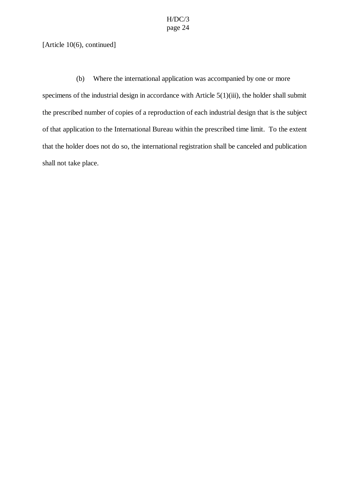#### [Article 10(6), continued]

(b) Where the international application was accompanied by one or more specimens of the industrial design in accordance with Article 5(1)(iii), the holder shall submit the prescribed number of copies of a reproduction of each industrial design that is the subject of that application to the International Bureau within the prescribed time limit. To the extent that the holder does not do so, the international registration shall be canceled and publication shall not take place.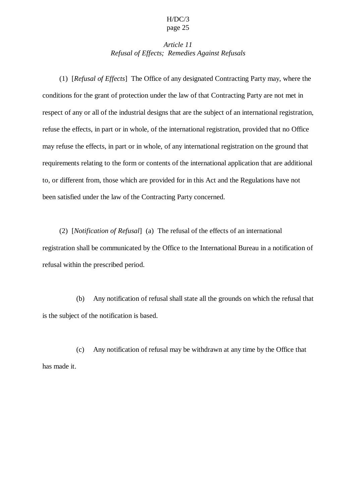## *Article 11 Refusal of Effects; Remedies Against Refusals*

(1) [*Refusal of Effects*] The Office of any designated Contracting Party may, where the conditions for the grant of protection under the law of that Contracting Party are not met in respect of any or all of the industrial designs that are the subject of an international registration, refuse the effects, in part or in whole, of the international registration, provided that no Office may refuse the effects, in part or in whole, of any international registration on the ground that requirements relating to the form or contents of the international application that are additional to, or different from, those which are provided for in this Act and the Regulations have not been satisfied under the law of the Contracting Party concerned.

(2) [*Notification of Refusal*] (a) The refusal of the effects of an international registration shall be communicated by the Office to the International Bureau in a notification of refusal within the prescribed period.

(b) Any notification of refusal shall state all the grounds on which the refusal that is the subject of the notification is based.

(c) Any notification of refusal may be withdrawn at any time by the Office that has made it.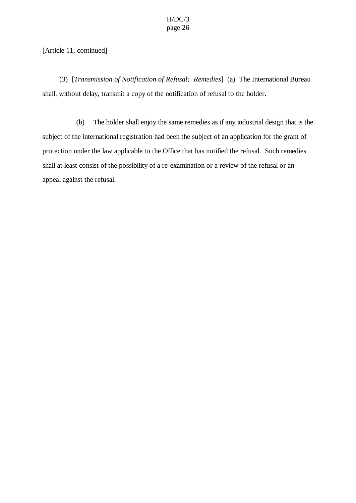[Article 11, continued]

(3) [*Transmission of Notification of Refusal; Remedies*] (a) The International Bureau shall, without delay, transmit a copy of the notification of refusal to the holder.

(b) The holder shall enjoy the same remedies as if any industrial design that is the subject of the international registration had been the subject of an application for the grant of protection under the law applicable to the Office that has notified the refusal. Such remedies shall at least consist of the possibility of a re-examination or a review of the refusal or an appeal against the refusal.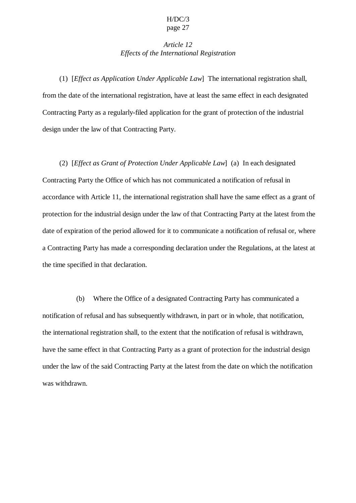## *Article 12 Effects of the International Registration*

(1) [*Effect as Application Under Applicable Law*] The international registration shall, from the date of the international registration, have at least the same effect in each designated Contracting Party as a regularly-filed application for the grant of protection of the industrial design under the law of that Contracting Party.

(2) [*Effect as Grant of Protection Under Applicable Law*] (a) In each designated Contracting Party the Office of which has not communicated a notification of refusal in accordance with Article 11, the international registration shall have the same effect as a grant of protection for the industrial design under the law of that Contracting Party at the latest from the date of expiration of the period allowed for it to communicate a notification of refusal or, where a Contracting Party has made a corresponding declaration under the Regulations, at the latest at the time specified in that declaration.

(b) Where the Office of a designated Contracting Party has communicated a notification of refusal and has subsequently withdrawn, in part or in whole, that notification, the international registration shall, to the extent that the notification of refusal is withdrawn, have the same effect in that Contracting Party as a grant of protection for the industrial design under the law of the said Contracting Party at the latest from the date on which the notification was withdrawn.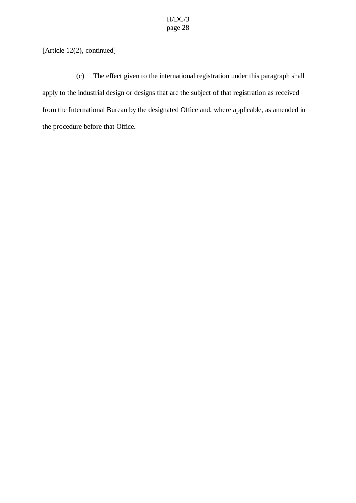[Article 12(2), continued]

(c) The effect given to the international registration under this paragraph shall apply to the industrial design or designs that are the subject of that registration as received from the International Bureau by the designated Office and, where applicable, as amended in the procedure before that Office.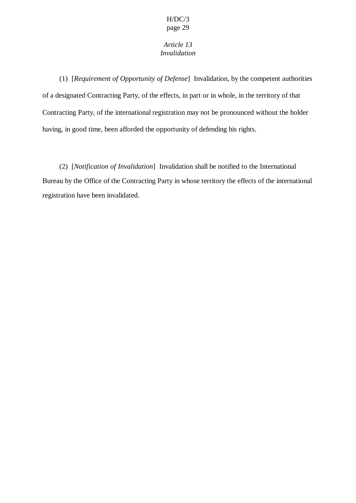## *Article 13 Invalidation*

(1) [*Requirement of Opportunity of Defense*] Invalidation, by the competent authorities of a designated Contracting Party, of the effects, in part or in whole, in the territory of that Contracting Party, of the international registration may not be pronounced without the holder having, in good time, been afforded the opportunity of defending his rights.

(2) [*Notification of Invalidation*] Invalidation shall be notified to the International Bureau by the Office of the Contracting Party in whose territory the effects of the international registration have been invalidated.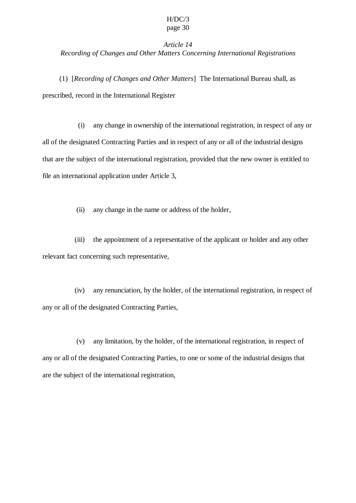## *Article 14 Recording of Changes and Other Matters Concerning International Registrations*

(1) [*Recording of Changes and Other Matters*] The International Bureau shall, as prescribed, record in the International Register

(i) any change in ownership of the international registration, in respect of any or all of the designated Contracting Parties and in respect of any or all of the industrial designs that are the subject of the international registration, provided that the new owner is entitled to file an international application under Article 3,

(ii) any change in the name or address of the holder,

(iii) the appointment of a representative of the applicant or holder and any other relevant fact concerning such representative,

(iv) any renunciation, by the holder, of the international registration, in respect of any or all of the designated Contracting Parties,

(v) any limitation, by the holder, of the international registration, in respect of any or all of the designated Contracting Parties, to one or some of the industrial designs that are the subject of the international registration,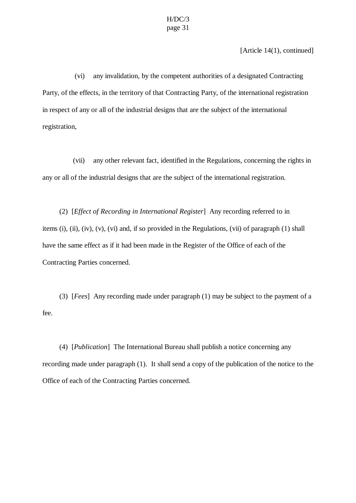[Article 14(1), continued]

(vi) any invalidation, by the competent authorities of a designated Contracting Party, of the effects, in the territory of that Contracting Party, of the international registration in respect of any or all of the industrial designs that are the subject of the international registration,

(vii) any other relevant fact, identified in the Regulations, concerning the rights in any or all of the industrial designs that are the subject of the international registration.

(2) [*Effect of Recording in International Register*] Any recording referred to in items (i), (ii), (iv), (v), (vi) and, if so provided in the Regulations, (vii) of paragraph (1) shall have the same effect as if it had been made in the Register of the Office of each of the Contracting Parties concerned.

(3) [*Fees*] Any recording made under paragraph (1) may be subject to the payment of a fee.

(4) [*Publication*] The International Bureau shall publish a notice concerning any recording made under paragraph (1). It shall send a copy of the publication of the notice to the Office of each of the Contracting Parties concerned.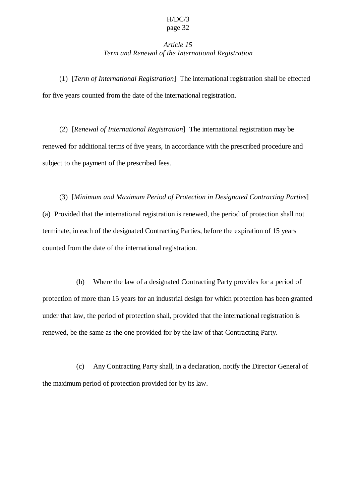## *Article 15 Term and Renewal of the International Registration*

(1) [*Term of International Registration*] The international registration shall be effected for five years counted from the date of the international registration.

(2) [*Renewal of International Registration*] The international registration may be renewed for additional terms of five years, in accordance with the prescribed procedure and subject to the payment of the prescribed fees.

(3) [*Minimum and Maximum Period of Protection in Designated Contracting Parties*] (a) Provided that the international registration is renewed, the period of protection shall not terminate, in each of the designated Contracting Parties, before the expiration of 15 years counted from the date of the international registration.

(b) Where the law of a designated Contracting Party provides for a period of protection of more than 15 years for an industrial design for which protection has been granted under that law, the period of protection shall, provided that the international registration is renewed, be the same as the one provided for by the law of that Contracting Party.

(c) Any Contracting Party shall, in a declaration, notify the Director General of the maximum period of protection provided for by its law.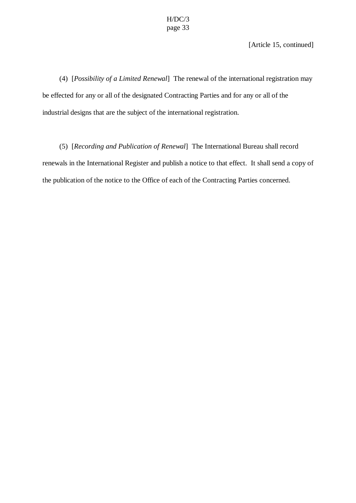[Article 15, continued]

(4) [*Possibility of a Limited Renewal*] The renewal of the international registration may be effected for any or all of the designated Contracting Parties and for any or all of the industrial designs that are the subject of the international registration.

(5) [*Recording and Publication of Renewal*] The International Bureau shall record renewals in the International Register and publish a notice to that effect. It shall send a copy of the publication of the notice to the Office of each of the Contracting Parties concerned.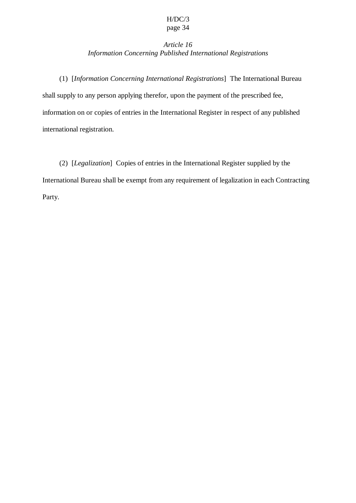## *Article 16 Information Concerning Published International Registrations*

(1) [*Information Concerning International Registrations*] The International Bureau shall supply to any person applying therefor, upon the payment of the prescribed fee, information on or copies of entries in the International Register in respect of any published international registration.

(2) [*Legalization*] Copies of entries in the International Register supplied by the International Bureau shall be exempt from any requirement of legalization in each Contracting Party.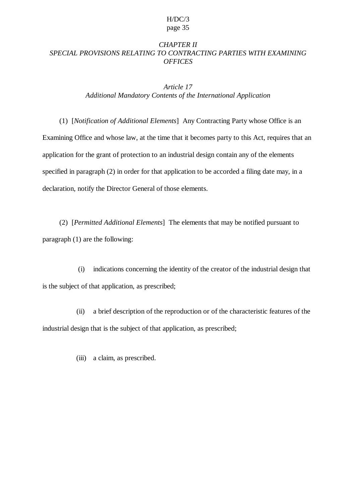## *CHAPTER II SPECIAL PROVISIONS RELATING TO CONTRACTING PARTIES WITH EXAMINING OFFICES*

#### *Article 17 Additional Mandatory Contents of the International Application*

(1) [*Notification of Additional Elements*] Any Contracting Party whose Office is an Examining Office and whose law, at the time that it becomes party to this Act, requires that an application for the grant of protection to an industrial design contain any of the elements specified in paragraph (2) in order for that application to be accorded a filing date may, in a declaration, notify the Director General of those elements.

(2) [*Permitted Additional Elements*] The elements that may be notified pursuant to paragraph (1) are the following:

(i) indications concerning the identity of the creator of the industrial design that is the subject of that application, as prescribed;

(ii) a brief description of the reproduction or of the characteristic features of the industrial design that is the subject of that application, as prescribed;

(iii) a claim, as prescribed.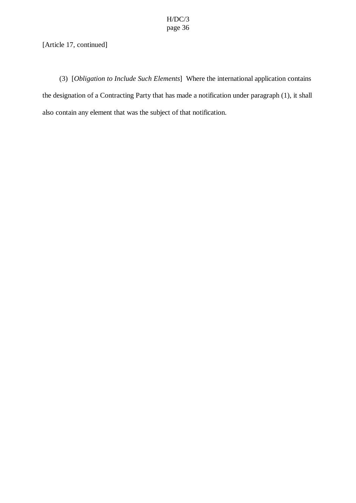## [Article 17, continued]

(3) [*Obligation to Include Such Elements*] Where the international application contains the designation of a Contracting Party that has made a notification under paragraph (1), it shall also contain any element that was the subject of that notification.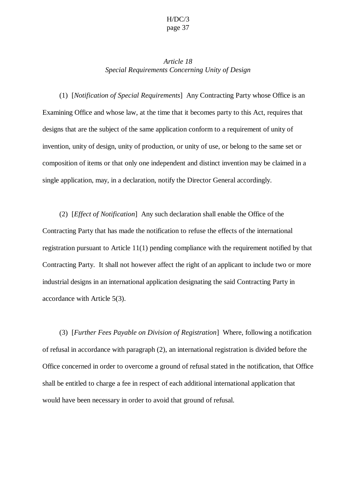#### *Article 18 Special Requirements Concerning Unity of Design*

(1) [*Notification of Special Requirements*] Any Contracting Party whose Office is an Examining Office and whose law, at the time that it becomes party to this Act, requires that designs that are the subject of the same application conform to a requirement of unity of invention, unity of design, unity of production, or unity of use, or belong to the same set or composition of items or that only one independent and distinct invention may be claimed in a single application, may, in a declaration, notify the Director General accordingly.

(2) [*Effect of Notification*] Any such declaration shall enable the Office of the Contracting Party that has made the notification to refuse the effects of the international registration pursuant to Article 11(1) pending compliance with the requirement notified by that Contracting Party. It shall not however affect the right of an applicant to include two or more industrial designs in an international application designating the said Contracting Party in accordance with Article 5(3).

(3) [*Further Fees Payable on Division of Registration*] Where, following a notification of refusal in accordance with paragraph (2), an international registration is divided before the Office concerned in order to overcome a ground of refusal stated in the notification, that Office shall be entitled to charge a fee in respect of each additional international application that would have been necessary in order to avoid that ground of refusal.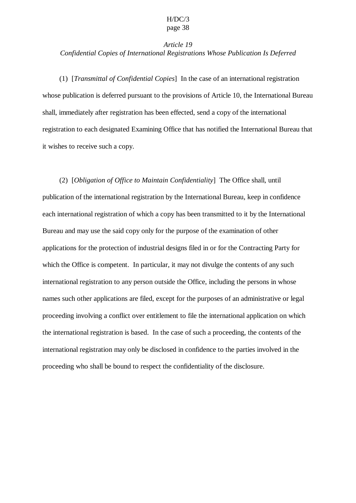## *Article 19 Confidential Copies of International Registrations Whose Publication Is Deferred*

(1) [*Transmittal of Confidential Copies*] In the case of an international registration whose publication is deferred pursuant to the provisions of Article 10, the International Bureau shall, immediately after registration has been effected, send a copy of the international registration to each designated Examining Office that has notified the International Bureau that it wishes to receive such a copy.

(2) [*Obligation of Office to Maintain Confidentiality*] The Office shall, until publication of the international registration by the International Bureau, keep in confidence each international registration of which a copy has been transmitted to it by the International Bureau and may use the said copy only for the purpose of the examination of other applications for the protection of industrial designs filed in or for the Contracting Party for which the Office is competent. In particular, it may not divulge the contents of any such international registration to any person outside the Office, including the persons in whose names such other applications are filed, except for the purposes of an administrative or legal proceeding involving a conflict over entitlement to file the international application on which the international registration is based. In the case of such a proceeding, the contents of the international registration may only be disclosed in confidence to the parties involved in the proceeding who shall be bound to respect the confidentiality of the disclosure.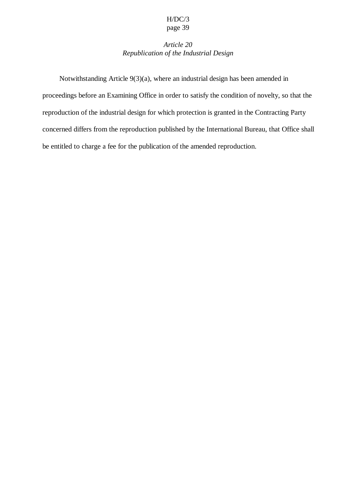## *Article 20 Republication of the Industrial Design*

Notwithstanding Article 9(3)(a), where an industrial design has been amended in proceedings before an Examining Office in order to satisfy the condition of novelty, so that the reproduction of the industrial design for which protection is granted in the Contracting Party concerned differs from the reproduction published by the International Bureau, that Office shall be entitled to charge a fee for the publication of the amended reproduction.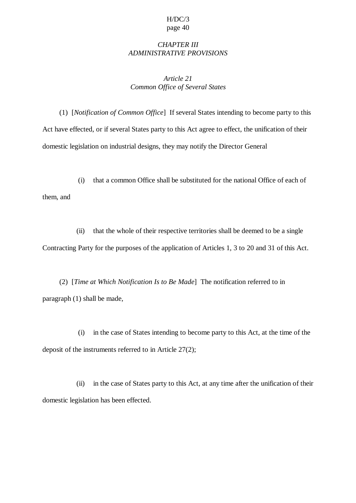### *CHAPTER III ADMINISTRATIVE PROVISIONS*

## *Article 21 Common Office of Several States*

(1) [*Notification of Common Office*] If several States intending to become party to this Act have effected, or if several States party to this Act agree to effect, the unification of their domestic legislation on industrial designs, they may notify the Director General

(i) that a common Office shall be substituted for the national Office of each of them, and

(ii) that the whole of their respective territories shall be deemed to be a single Contracting Party for the purposes of the application of Articles 1, 3 to 20 and 31 of this Act.

(2) [*Time at Which Notification Is to Be Made*] The notification referred to in paragraph (1) shall be made,

(i) in the case of States intending to become party to this Act, at the time of the deposit of the instruments referred to in Article 27(2);

(ii) in the case of States party to this Act, at any time after the unification of their domestic legislation has been effected.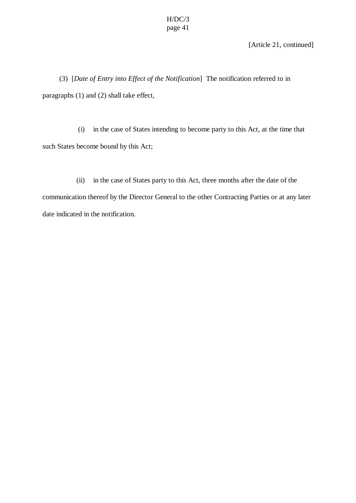[Article 21, continued]

(3) [*Date of Entry into Effect of the Notification*] The notification referred to in paragraphs (1) and (2) shall take effect,

(i) in the case of States intending to become party to this Act, at the time that such States become bound by this Act;

(ii) in the case of States party to this Act, three months after the date of the communication thereof by the Director General to the other Contracting Parties or at any later date indicated in the notification.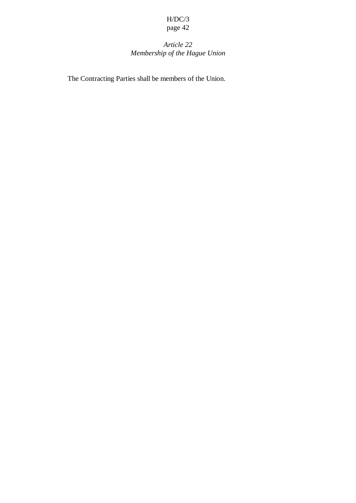# *Article 22 Membership of the Hague Union*

The Contracting Parties shall be members of the Union.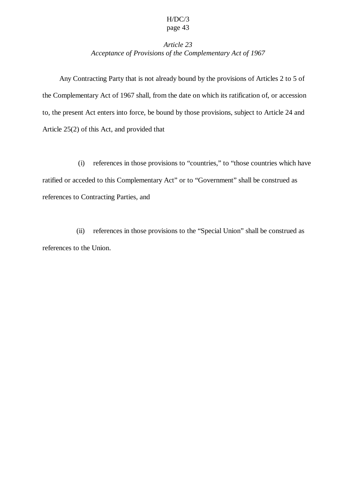## *Article 23 Acceptance of Provisions of the Complementary Act of 1967*

Any Contracting Party that is not already bound by the provisions of Articles 2 to 5 of the Complementary Act of 1967 shall, from the date on which its ratification of, or accession to, the present Act enters into force, be bound by those provisions, subject to Article 24 and Article 25(2) of this Act, and provided that

(i) references in those provisions to "countries," to "those countries which have ratified or acceded to this Complementary Act" or to "Government" shall be construed as references to Contracting Parties, and

(ii) references in those provisions to the "Special Union" shall be construed as references to the Union.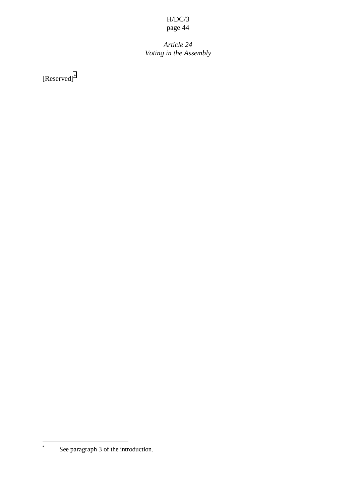$P^{\mu}$  $\sigma^{\nu}$   $\cdots$ 

*Article 24 Voting in the Assembly*

[Reserved]\*

\*

See paragraph 3 of the introduction.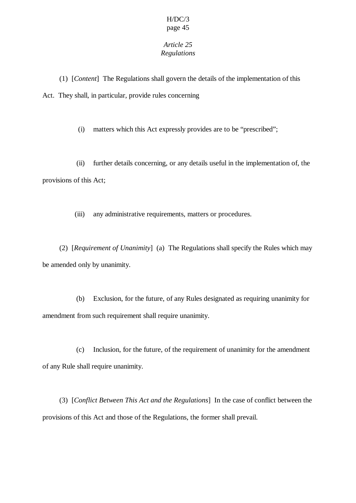## *Article 25 Regulations*

(1) [*Content*] The Regulations shall govern the details of the implementation of this Act. They shall, in particular, provide rules concerning

(i) matters which this Act expressly provides are to be "prescribed";

(ii) further details concerning, or any details useful in the implementation of, the provisions of this Act;

(iii) any administrative requirements, matters or procedures.

(2) [*Requirement of Unanimity*] (a) The Regulations shall specify the Rules which may be amended only by unanimity.

(b) Exclusion, for the future, of any Rules designated as requiring unanimity for amendment from such requirement shall require unanimity.

(c) Inclusion, for the future, of the requirement of unanimity for the amendment of any Rule shall require unanimity.

(3) [*Conflict Between This Act and the Regulations*] In the case of conflict between the provisions of this Act and those of the Regulations, the former shall prevail.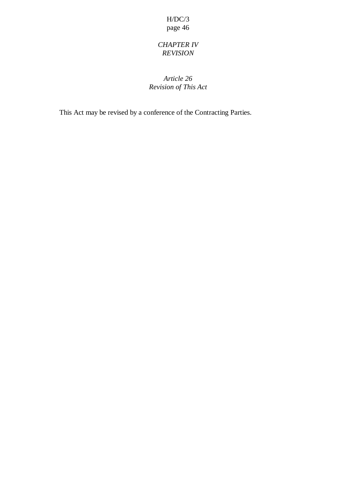## *CHAPTER IV REVISION*

## *Article 26 Revision of This Act*

This Act may be revised by a conference of the Contracting Parties.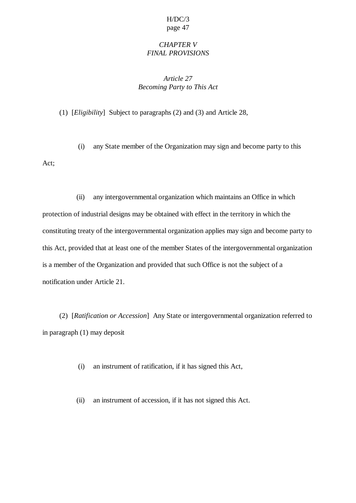## *CHAPTER V FINAL PROVISIONS*

## *Article 27 Becoming Party to This Act*

(1) [*Eligibility*] Subject to paragraphs (2) and (3) and Article 28,

(i) any State member of the Organization may sign and become party to this Act;

(ii) any intergovernmental organization which maintains an Office in which protection of industrial designs may be obtained with effect in the territory in which the constituting treaty of the intergovernmental organization applies may sign and become party to this Act, provided that at least one of the member States of the intergovernmental organization is a member of the Organization and provided that such Office is not the subject of a notification under Article 21.

(2) [*Ratification or Accession*] Any State or intergovernmental organization referred to in paragraph (1) may deposit

(i) an instrument of ratification, if it has signed this Act,

(ii) an instrument of accession, if it has not signed this Act.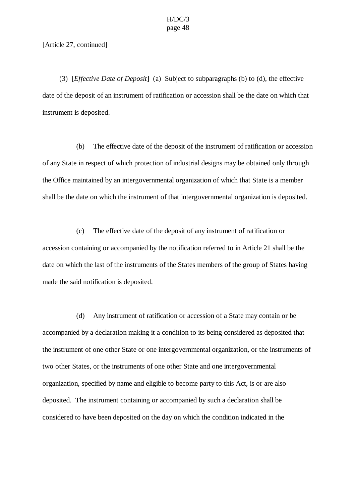#### [Article 27, continued]

(3) [*Effective Date of Deposit*] (a) Subject to subparagraphs (b) to (d), the effective date of the deposit of an instrument of ratification or accession shall be the date on which that instrument is deposited.

(b) The effective date of the deposit of the instrument of ratification or accession of any State in respect of which protection of industrial designs may be obtained only through the Office maintained by an intergovernmental organization of which that State is a member shall be the date on which the instrument of that intergovernmental organization is deposited.

(c) The effective date of the deposit of any instrument of ratification or accession containing or accompanied by the notification referred to in Article 21 shall be the date on which the last of the instruments of the States members of the group of States having made the said notification is deposited.

(d) Any instrument of ratification or accession of a State may contain or be accompanied by a declaration making it a condition to its being considered as deposited that the instrument of one other State or one intergovernmental organization, or the instruments of two other States, or the instruments of one other State and one intergovernmental organization, specified by name and eligible to become party to this Act, is or are also deposited. The instrument containing or accompanied by such a declaration shall be considered to have been deposited on the day on which the condition indicated in the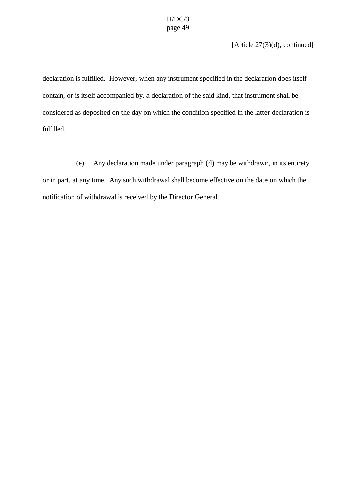[Article 27(3)(d), continued]

declaration is fulfilled. However, when any instrument specified in the declaration does itself contain, or is itself accompanied by, a declaration of the said kind, that instrument shall be considered as deposited on the day on which the condition specified in the latter declaration is fulfilled.

(e) Any declaration made under paragraph (d) may be withdrawn, in its entirety or in part, at any time. Any such withdrawal shall become effective on the date on which the notification of withdrawal is received by the Director General.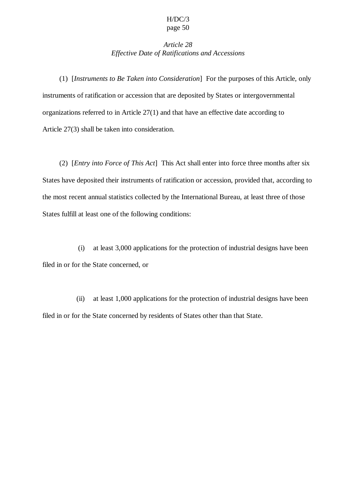## *Article 28 Effective Date of Ratifications and Accessions*

(1) [*Instruments to Be Taken into Consideration*] For the purposes of this Article, only instruments of ratification or accession that are deposited by States or intergovernmental organizations referred to in Article 27(1) and that have an effective date according to Article 27(3) shall be taken into consideration.

(2) [*Entry into Force of This Act*] This Act shall enter into force three months after six States have deposited their instruments of ratification or accession, provided that, according to the most recent annual statistics collected by the International Bureau, at least three of those States fulfill at least one of the following conditions:

(i) at least 3,000 applications for the protection of industrial designs have been filed in or for the State concerned, or

(ii) at least 1,000 applications for the protection of industrial designs have been filed in or for the State concerned by residents of States other than that State.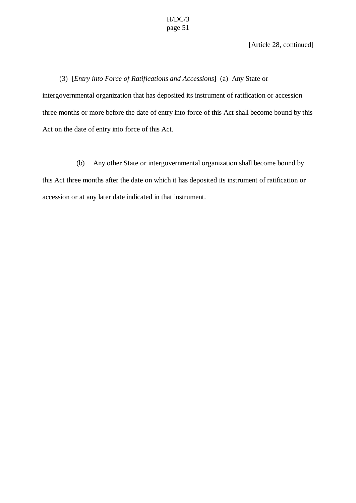[Article 28, continued]

(3) [*Entry into Force of Ratifications and Accessions*] (a) Any State or intergovernmental organization that has deposited its instrument of ratification or accession three months or more before the date of entry into force of this Act shall become bound by this Act on the date of entry into force of this Act.

(b) Any other State or intergovernmental organization shall become bound by this Act three months after the date on which it has deposited its instrument of ratification or accession or at any later date indicated in that instrument.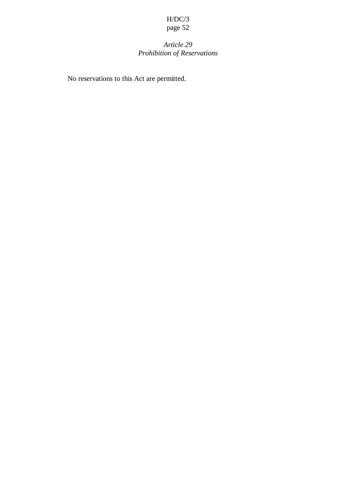# *Article 29 Prohibition of Reservations*

No reservations to this Act are permitted.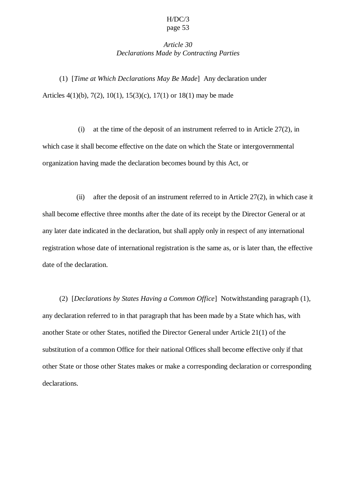### *Article 30 Declarations Made by Contracting Parties*

(1) [*Time at Which Declarations May Be Made*] Any declaration under Articles 4(1)(b), 7(2), 10(1), 15(3)(c), 17(1) or 18(1) may be made

(i) at the time of the deposit of an instrument referred to in Article 27(2), in which case it shall become effective on the date on which the State or intergovernmental organization having made the declaration becomes bound by this Act, or

(ii) after the deposit of an instrument referred to in Article 27(2), in which case it shall become effective three months after the date of its receipt by the Director General or at any later date indicated in the declaration, but shall apply only in respect of any international registration whose date of international registration is the same as, or is later than, the effective date of the declaration.

(2) [*Declarations by States Having a Common Office*] Notwithstanding paragraph (1), any declaration referred to in that paragraph that has been made by a State which has, with another State or other States, notified the Director General under Article 21(1) of the substitution of a common Office for their national Offices shall become effective only if that other State or those other States makes or make a corresponding declaration or corresponding declarations.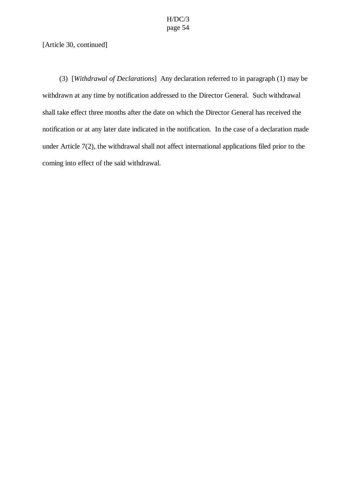#### [Article 30, continued]

(3) [*Withdrawal of Declarations*] Any declaration referred to in paragraph (1) may be withdrawn at any time by notification addressed to the Director General. Such withdrawal shall take effect three months after the date on which the Director General has received the notification or at any later date indicated in the notification. In the case of a declaration made under Article 7(2), the withdrawal shall not affect international applications filed prior to the coming into effect of the said withdrawal.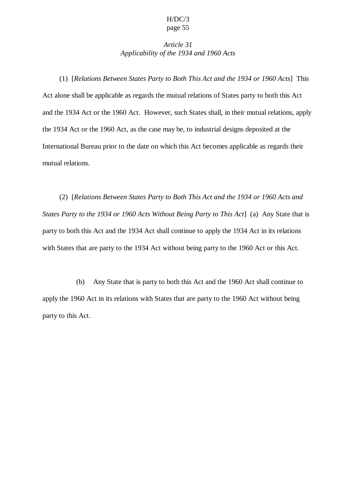### *Article 31 Applicability of the 1934 and 1960 Acts*

(1) [*Relations Between States Party to Both This Act and the 1934 or 1960 Acts*] This Act alone shall be applicable as regards the mutual relations of States party to both this Act and the 1934 Act or the 1960 Act. However, such States shall, in their mutual relations, apply the 1934 Act or the 1960 Act, as the case may be, to industrial designs deposited at the International Bureau prior to the date on which this Act becomes applicable as regards their mutual relations.

(2) [*Relations Between States Party to Both This Act and the 1934 or 1960 Acts and States Party to the 1934 or 1960 Acts Without Being Party to This Act*] (a) Any State that is party to both this Act and the 1934 Act shall continue to apply the 1934 Act in its relations with States that are party to the 1934 Act without being party to the 1960 Act or this Act.

(b) Any State that is party to both this Act and the 1960 Act shall continue to apply the 1960 Act in its relations with States that are party to the 1960 Act without being party to this Act.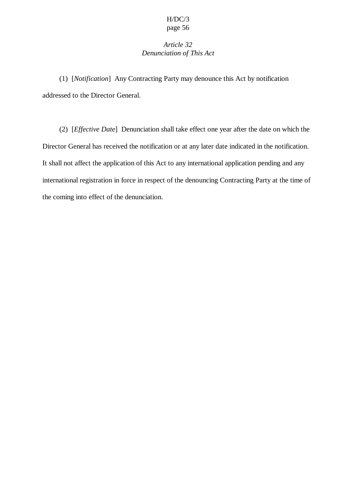## *Article 32 Denunciation of This Act*

(1) [*Notification*] Any Contracting Party may denounce this Act by notification addressed to the Director General.

(2) [*Effective Date*] Denunciation shall take effect one year after the date on which the Director General has received the notification or at any later date indicated in the notification. It shall not affect the application of this Act to any international application pending and any international registration in force in respect of the denouncing Contracting Party at the time of the coming into effect of the denunciation.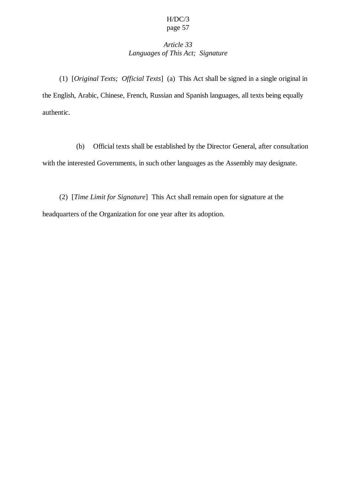## *Article 33 Languages of This Act; Signature*

(1) [*Original Texts; Official Texts*] (a) This Act shall be signed in a single original in the English, Arabic, Chinese, French, Russian and Spanish languages, all texts being equally authentic.

(b) Official texts shall be established by the Director General, after consultation with the interested Governments, in such other languages as the Assembly may designate.

(2) [*Time Limit for Signature*] This Act shall remain open for signature at the headquarters of the Organization for one year after its adoption.